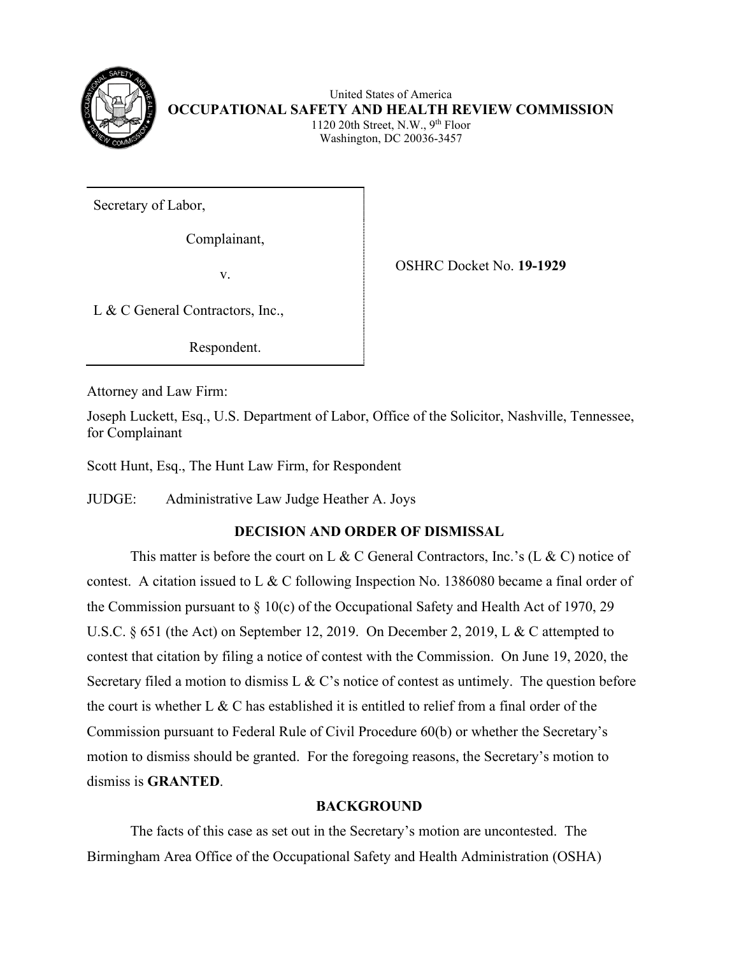

United States of America **OCCUPATIONAL SAFETY AND HEALTH REVIEW COMMISSION** 1120 20th Street, N.W.,  $9<sup>th</sup>$  Floor Washington, DC 20036-3457

Secretary of Labor,

Complainant,

v. OSHRC Docket No. **19-1929**

L & C General Contractors, Inc.,

Respondent.

Attorney and Law Firm:

Joseph Luckett, Esq., U.S. Department of Labor, Office of the Solicitor, Nashville, Tennessee, for Complainant

Scott Hunt, Esq., The Hunt Law Firm, for Respondent

JUDGE: Administrative Law Judge Heather A. Joys

# **DECISION AND ORDER OF DISMISSAL**

This matter is before the court on L & C General Contractors, Inc.'s (L & C) notice of contest. A citation issued to L & C following Inspection No. 1386080 became a final order of the Commission pursuant to  $\S 10(c)$  of the Occupational Safety and Health Act of 1970, 29 U.S.C. § 651 (the Act) on September 12, 2019. On December 2, 2019, L & C attempted to contest that citation by filing a notice of contest with the Commission. On June 19, 2020, the Secretary filed a motion to dismiss L & C's notice of contest as untimely. The question before the court is whether L & C has established it is entitled to relief from a final order of the Commission pursuant to Federal Rule of Civil Procedure 60(b) or whether the Secretary's motion to dismiss should be granted. For the foregoing reasons, the Secretary's motion to dismiss is **GRANTED**.

# **BACKGROUND**

The facts of this case as set out in the Secretary's motion are uncontested. The Birmingham Area Office of the Occupational Safety and Health Administration (OSHA)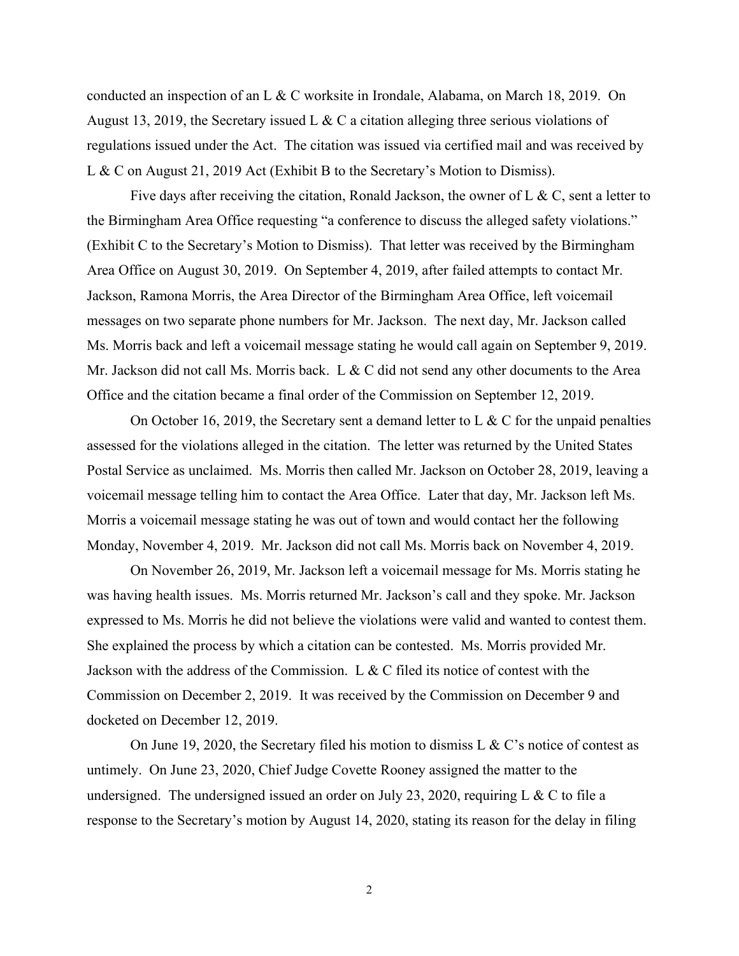conducted an inspection of an L & C worksite in Irondale, Alabama, on March 18, 2019. On August 13, 2019, the Secretary issued L & C a citation alleging three serious violations of regulations issued under the Act. The citation was issued via certified mail and was received by L & C on August 21, 2019 Act (Exhibit B to the Secretary's Motion to Dismiss).

Five days after receiving the citation, Ronald Jackson, the owner of L & C, sent a letter to the Birmingham Area Office requesting "a conference to discuss the alleged safety violations." (Exhibit C to the Secretary's Motion to Dismiss). That letter was received by the Birmingham Area Office on August 30, 2019. On September 4, 2019, after failed attempts to contact Mr. Jackson, Ramona Morris, the Area Director of the Birmingham Area Office, left voicemail messages on two separate phone numbers for Mr. Jackson. The next day, Mr. Jackson called Ms. Morris back and left a voicemail message stating he would call again on September 9, 2019. Mr. Jackson did not call Ms. Morris back. L & C did not send any other documents to the Area Office and the citation became a final order of the Commission on September 12, 2019.

On October 16, 2019, the Secretary sent a demand letter to L  $\&$  C for the unpaid penalties assessed for the violations alleged in the citation. The letter was returned by the United States Postal Service as unclaimed. Ms. Morris then called Mr. Jackson on October 28, 2019, leaving a voicemail message telling him to contact the Area Office. Later that day, Mr. Jackson left Ms. Morris a voicemail message stating he was out of town and would contact her the following Monday, November 4, 2019. Mr. Jackson did not call Ms. Morris back on November 4, 2019.

On November 26, 2019, Mr. Jackson left a voicemail message for Ms. Morris stating he was having health issues. Ms. Morris returned Mr. Jackson's call and they spoke. Mr. Jackson expressed to Ms. Morris he did not believe the violations were valid and wanted to contest them. She explained the process by which a citation can be contested. Ms. Morris provided Mr. Jackson with the address of the Commission. L & C filed its notice of contest with the Commission on December 2, 2019. It was received by the Commission on December 9 and docketed on December 12, 2019.

On June 19, 2020, the Secretary filed his motion to dismiss L & C's notice of contest as untimely. On June 23, 2020, Chief Judge Covette Rooney assigned the matter to the undersigned. The undersigned issued an order on July 23, 2020, requiring L & C to file a response to the Secretary's motion by August 14, 2020, stating its reason for the delay in filing

2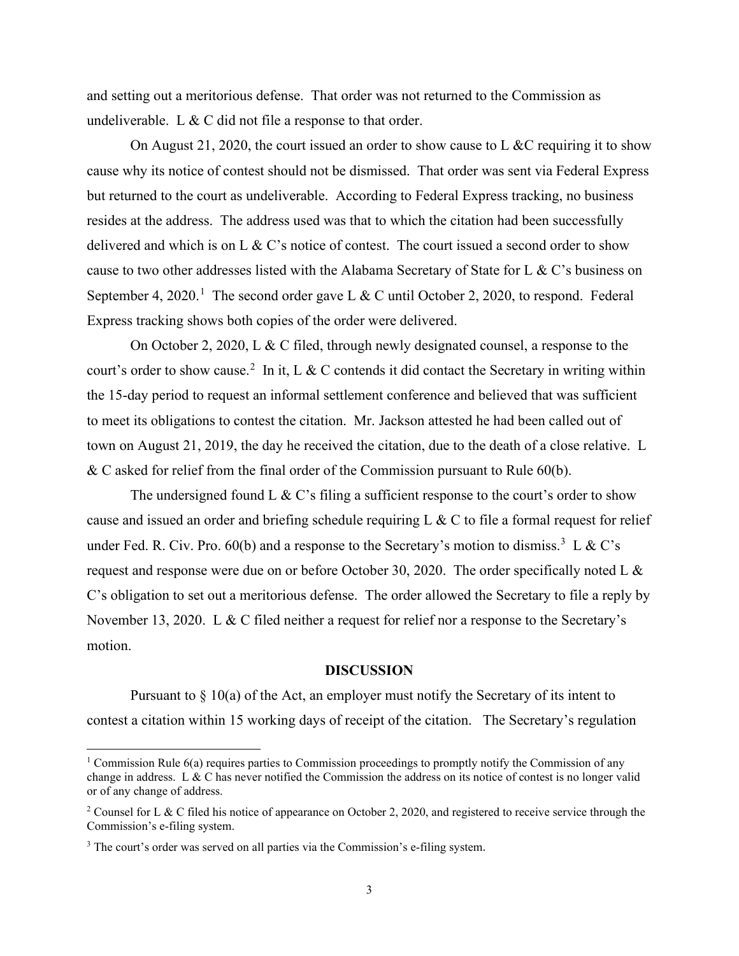and setting out a meritorious defense. That order was not returned to the Commission as undeliverable. L  $& C$  did not file a response to that order.

On August 21, 2020, the court issued an order to show cause to L &C requiring it to show cause why its notice of contest should not be dismissed. That order was sent via Federal Express but returned to the court as undeliverable. According to Federal Express tracking, no business resides at the address. The address used was that to which the citation had been successfully delivered and which is on L & C's notice of contest. The court issued a second order to show cause to two other addresses listed with the Alabama Secretary of State for L & C's business on September 4, 2020.<sup>[1](#page-2-0)</sup> The second order gave L & C until October 2, 2020, to respond. Federal Express tracking shows both copies of the order were delivered.

On October 2, 2020, L & C filed, through newly designated counsel, a response to the court's order to show cause.<sup>[2](#page-2-1)</sup> In it, L & C contends it did contact the Secretary in writing within the 15-day period to request an informal settlement conference and believed that was sufficient to meet its obligations to contest the citation. Mr. Jackson attested he had been called out of town on August 21, 2019, the day he received the citation, due to the death of a close relative. L & C asked for relief from the final order of the Commission pursuant to Rule 60(b).

The undersigned found L  $\&$  C's filing a sufficient response to the court's order to show cause and issued an order and briefing schedule requiring L  $\&$  C to file a formal request for relief under Fed. R. Civ. Pro. 60(b) and a response to the Secretary's motion to dismiss.<sup>[3](#page-2-2)</sup> L & C's request and response were due on or before October 30, 2020. The order specifically noted L & C's obligation to set out a meritorious defense. The order allowed the Secretary to file a reply by November 13, 2020. L & C filed neither a request for relief nor a response to the Secretary's motion.

### **DISCUSSION**

Pursuant to  $\S 10(a)$  of the Act, an employer must notify the Secretary of its intent to contest a citation within 15 working days of receipt of the citation. The Secretary's regulation

<span id="page-2-0"></span><sup>&</sup>lt;sup>1</sup> Commission Rule  $6(a)$  requires parties to Commission proceedings to promptly notify the Commission of any change in address. L & C has never notified the Commission the address on its notice of contest is no longer valid or of any change of address.

<span id="page-2-1"></span><sup>&</sup>lt;sup>2</sup> Counsel for L & C filed his notice of appearance on October 2, 2020, and registered to receive service through the Commission's e-filing system.

<span id="page-2-2"></span><sup>&</sup>lt;sup>3</sup> The court's order was served on all parties via the Commission's e-filing system.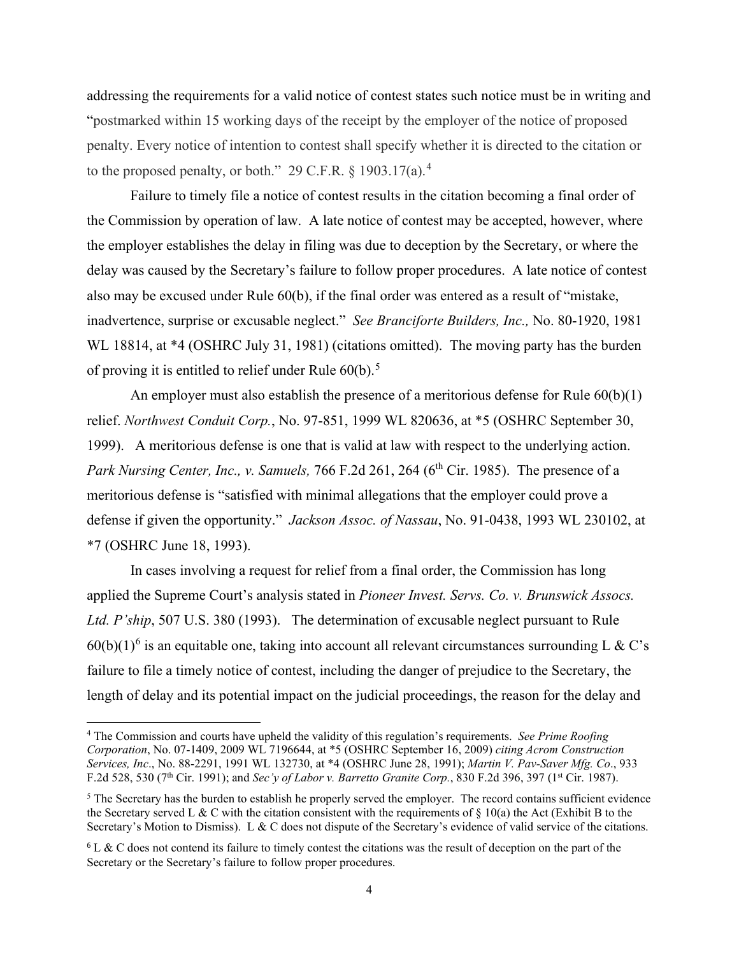addressing the requirements for a valid notice of contest states such notice must be in writing and "postmarked within 15 working days of the receipt by the employer of the notice of proposed penalty. Every notice of intention to contest shall specify whether it is directed to the citation or to the proposed penalty, or both." 29 C.F.R.  $\S 1903.17(a)$ .<sup>[4](#page-3-0)</sup>

Failure to timely file a notice of contest results in the citation becoming a final order of the Commission by operation of law. A late notice of contest may be accepted, however, where the employer establishes the delay in filing was due to deception by the Secretary, or where the delay was caused by the Secretary's failure to follow proper procedures. A late notice of contest also may be excused under Rule 60(b), if the final order was entered as a result of "mistake, inadvertence, surprise or excusable neglect." *See Branciforte Builders, Inc.,* No. 80-1920, 1981 WL 18814, at \*4 (OSHRC July 31, 1981) (citations omitted). The moving party has the burden of proving it is entitled to relief under Rule  $60(b)$ .<sup>[5](#page-3-1)</sup>

An employer must also establish the presence of a meritorious defense for Rule  $60(b)(1)$ relief. *[Northwest Conduit Corp.](http://www.westlaw.com/Find/Default.wl?rs=dfa1.0&vr=2.0&DB=0003227&FindType=Y&SerialNum=1999284282)*[, No. 97-851, 1999 WL 820636, at \\*5 \(OSHRC September 30,](http://www.westlaw.com/Find/Default.wl?rs=dfa1.0&vr=2.0&DB=0003227&FindType=Y&SerialNum=1999284282)  [1999\).](http://www.westlaw.com/Find/Default.wl?rs=dfa1.0&vr=2.0&DB=0003227&FindType=Y&SerialNum=1999284282) A meritorious defense is one that is valid at law with respect to the underlying action. *Park Nursing Center, Inc., v. Samuels, 766 F.2d 261, 264 (6<sup>th</sup> Cir. 1985). The presence of a* meritorious defense is "satisfied with minimal allegations that the employer could prove a defense if given the opportunity." *Jackson Assoc. of Nassau*, No. 91-0438, 1993 WL 230102, at \*7 (OSHRC June 18, 1993).

In cases involving a request for relief from a final order, the Commission has long applied the Supreme Court's analysis stated in *Pioneer Invest. Servs. Co. v. Brunswick Assocs. Ltd. P'ship*, 507 U.S. 380 (1993). The determination of excusable neglect pursuant to Rule  $60(b)(1)^6$  $60(b)(1)^6$  is an equitable one, taking into account all relevant circumstances surrounding L & C's failure to file a timely notice of contest, including the danger of prejudice to the Secretary, the length of delay and its potential impact on the judicial proceedings, the reason for the delay and

<span id="page-3-0"></span><sup>4</sup> The Commission and courts have upheld the validity of this regulation's requirements. *See Prime Roofing Corporation*, No. 07-1409, 2009 WL 7196644, at \*5 (OSHRC September 16, 2009) *citing Acrom Construction Services, Inc*., No. 88-2291, 1991 WL 132730, at \*4 (OSHRC June 28, 1991); *Martin V. Pav-Saver Mfg. Co*., 933 F.2d 528, 530 (7th Cir. 1991); and *Sec'y of Labor v. Barretto Granite Corp.*, 830 F.2d 396, 397 (1st Cir. 1987).

<span id="page-3-1"></span> $<sup>5</sup>$  The Secretary has the burden to establish he properly served the employer. The record contains sufficient evidence</sup> the Secretary served L & C with the citation consistent with the requirements of  $\S$  10(a) the Act (Exhibit B to the Secretary's Motion to Dismiss). L & C does not dispute of the Secretary's evidence of valid service of the citations.

<span id="page-3-2"></span> $6$  L & C does not contend its failure to timely contest the citations was the result of deception on the part of the Secretary or the Secretary's failure to follow proper procedures.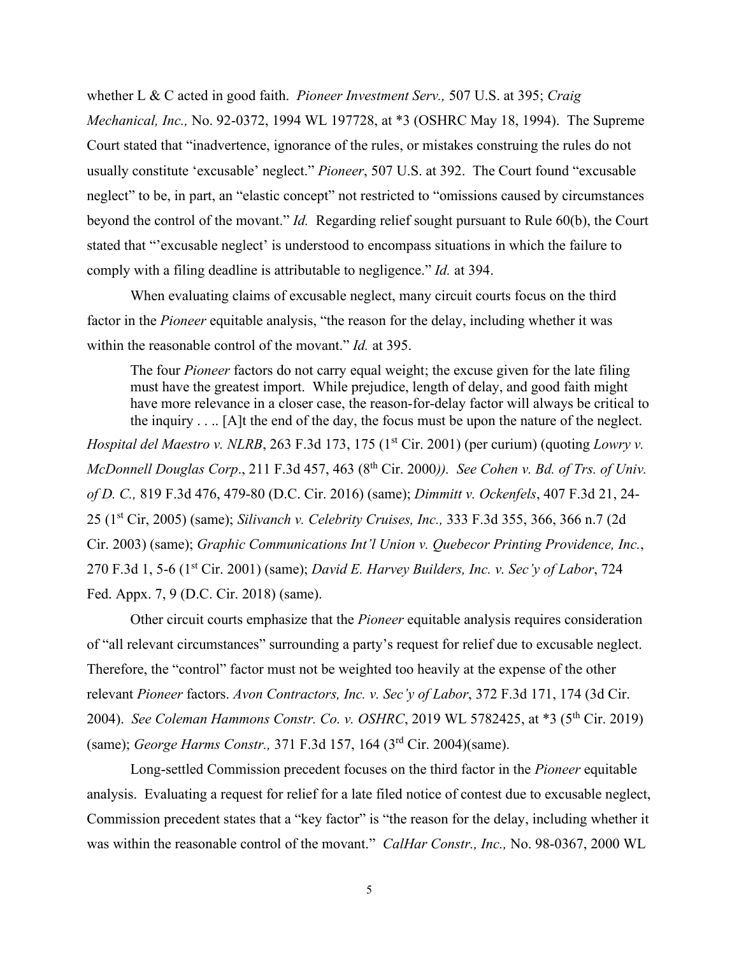whether L & C acted in good faith. *Pioneer Investment Serv.,* 507 U.S. at 395; *Craig Mechanical, Inc.,* No. 92-0372, 1994 WL 197728, at \*3 (OSHRC May 18, 1994). The Supreme Court stated that "inadvertence, ignorance of the rules, or mistakes construing the rules do not usually constitute 'excusable' neglect." *Pioneer*, 507 U.S. at 392. The Court found "excusable neglect" to be, in part, an "elastic concept" not restricted to "omissions caused by circumstances beyond the control of the movant." *Id.* Regarding relief sought pursuant to Rule 60(b), the Court stated that "'excusable neglect' is understood to encompass situations in which the failure to comply with a filing deadline is attributable to negligence." *Id.* at 394.

When evaluating claims of excusable neglect, many circuit courts focus on the third factor in the *Pioneer* equitable analysis, "the reason for the delay, including whether it was within the reasonable control of the movant." *Id.* at 395.

The four *Pioneer* factors do not carry equal weight; the excuse given for the late filing must have the greatest import. While prejudice, length of delay, and good faith might have more relevance in a closer case, the reason-for-delay factor will always be critical to the inquiry . . .. [A]t the end of the day, the focus must be upon the nature of the neglect. *Hospital del Maestro v. NLRB*, 263 F.3d 173, 175 (1<sup>st</sup> Cir. 2001) (per curium) (quoting *Lowry v. McDonnell Douglas Corp.*, 211 F.3d 457, 463 (8<sup>th</sup> Cir. 2000)). *See Cohen v. Bd. of Trs. of Univ. of D. C.,* 819 F.3d 476, 479-80 (D.C. Cir. 2016) (same); *Dimmitt v. Ockenfels*, 407 F.3d 21, 24- 25 (1st Cir, 2005) (same); *Silivanch v. Celebrity Cruises, Inc.,* 333 F.3d 355, 366, 366 n.7 (2d Cir. 2003) (same); *Graphic Communications Int'l Union v. Quebecor Printing Providence, Inc.*, 270 F.3d 1, 5-6 (1st Cir. 2001) (same); *David E. Harvey Builders, Inc. v. Sec'y of Labor*, 724 Fed. Appx. 7, 9 (D.C. Cir. 2018) (same).

Other circuit courts emphasize that the *Pioneer* equitable analysis requires consideration of "all relevant circumstances" surrounding a party's request for relief due to excusable neglect. Therefore, the "control" factor must not be weighted too heavily at the expense of the other relevant *Pioneer* factors. *Avon Contractors, Inc. v. Sec'y of Labor*, 372 F.3d 171, 174 (3d Cir. 2004). *See Coleman Hammons Constr. Co. v. OSHRC*, 2019 WL 5782425, at \*3 (5th Cir. 2019) (same); *George Harms Constr.,* 371 F.3d 157, 164 (3rd Cir. 2004)(same).

Long-settled Commission precedent focuses on the third factor in the *Pioneer* equitable analysis. Evaluating a request for relief for a late filed notice of contest due to excusable neglect, Commission precedent states that a "key factor" is "the reason for the delay, including whether it was within the reasonable control of the movant." *CalHar Constr., Inc.,* No. 98-0367, 2000 WL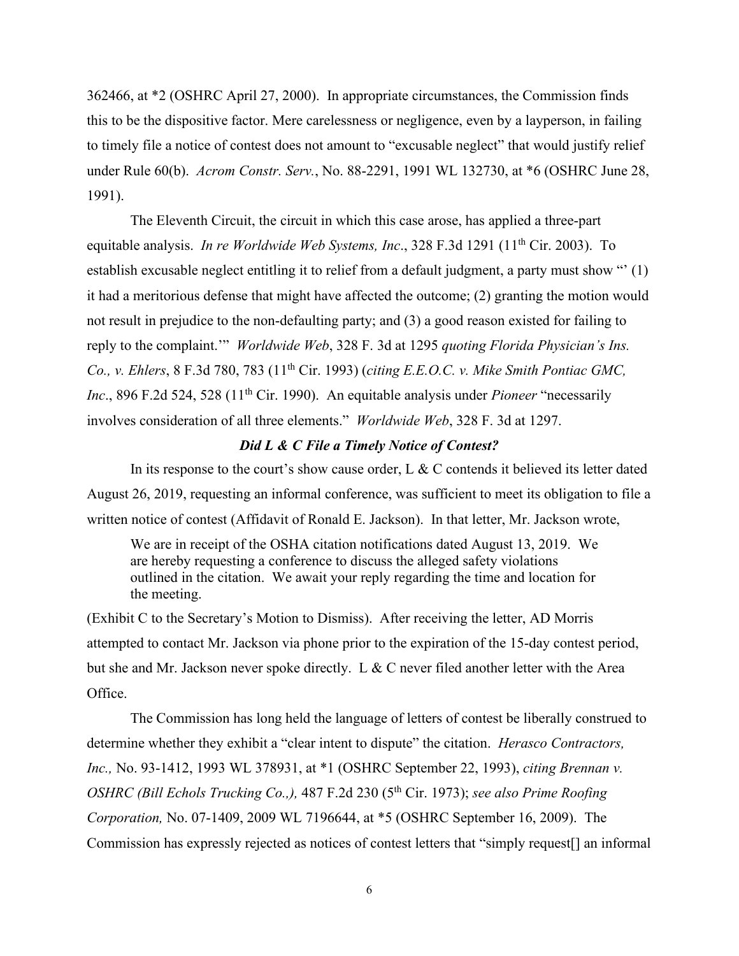362466, at \*2 (OSHRC April 27, 2000). In appropriate circumstances, the Commission finds this to be the dispositive factor. Mere carelessness or negligence, even by a layperson, in failing to timely file a notice of contest does not amount to "excusable neglect" that would justify relief under [Rule 60\(b\).](http://www.westlaw.com/Find/Default.wl?rs=dfa1.0&vr=2.0&DB=1004365&DocName=USFRCPR60&FindType=L) *Acrom Constr. Serv.*, No. 88-2291, 1991 WL 132730, at \*6 (OSHRC June 28, 1991).

The Eleventh Circuit, the circuit in which this case arose, has applied a three-part equitable analysis. *In re Worldwide Web Systems, Inc.*, 328 F.3d 1291 (11<sup>th</sup> Cir. 2003). To establish excusable neglect entitling it to relief from a default judgment, a party must show "' (1) it had a meritorious defense that might have affected the outcome; (2) granting the motion would not result in prejudice to the non-defaulting party; and (3) a good reason existed for failing to reply to the complaint.'" *Worldwide Web*, 328 F. 3d at 1295 *quoting Florida Physician's Ins. Co., v. Ehlers*, 8 F.3d 780, 783 (11th Cir. 1993) (*citing E.E.O.C. v. Mike Smith Pontiac GMC, Inc.*, 896 F.2d 524, 528 (11<sup>th</sup> Cir. 1990). An equitable analysis under *Pioneer* "necessarily involves consideration of all three elements." *Worldwide Web*, 328 F. 3d at 1297.

### *Did L & C File a Timely Notice of Contest?*

In its response to the court's show cause order, L & C contends it believed its letter dated August 26, 2019, requesting an informal conference, was sufficient to meet its obligation to file a written notice of contest (Affidavit of Ronald E. Jackson). In that letter, Mr. Jackson wrote,

We are in receipt of the OSHA citation notifications dated August 13, 2019. We are hereby requesting a conference to discuss the alleged safety violations outlined in the citation. We await your reply regarding the time and location for the meeting.

(Exhibit C to the Secretary's Motion to Dismiss). After receiving the letter, AD Morris attempted to contact Mr. Jackson via phone prior to the expiration of the 15-day contest period, but she and Mr. Jackson never spoke directly. L & C never filed another letter with the Area Office.

 The Commission has long held the language of letters of contest be liberally construed to determine whether they exhibit a "clear intent to dispute" the citation. *Herasco Contractors, Inc.,* No. 93-1412, 1993 WL 378931, at \*1 (OSHRC September 22, 1993), *citing Brennan v. OSHRC (Bill Echols Trucking Co.,),* 487 F.2d 230 (5<sup>th</sup> Cir. 1973); *see also Prime Roofing Corporation,* No. 07-1409, 2009 WL 7196644, at \*5 (OSHRC September 16, 2009). The Commission has expressly rejected as notices of contest letters that "simply request[] an informal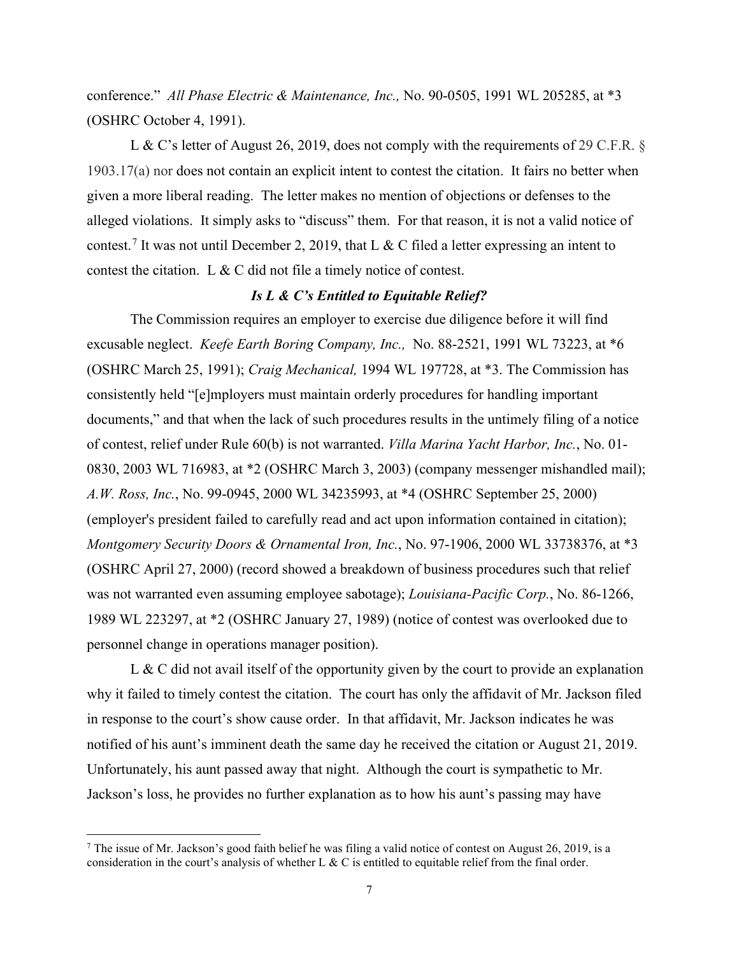conference." *All Phase Electric & Maintenance, Inc.,* No. 90-0505, 1991 WL 205285, at \*3 (OSHRC October 4, 1991).

L & C's letter of August 26, 2019, does not comply with the requirements of 29 C.F.R. § 1903.17(a) nor does not contain an explicit intent to contest the citation. It fairs no better when given a more liberal reading. The letter makes no mention of objections or defenses to the alleged violations. It simply asks to "discuss" them. For that reason, it is not a valid notice of contest.<sup>[7](#page-6-0)</sup> It was not until December 2, 2019, that L & C filed a letter expressing an intent to contest the citation. L & C did not file a timely notice of contest.

#### *Is L & C's Entitled to Equitable Relief?*

The Commission requires an employer to exercise due diligence before it will find excusable neglect. *Keefe Earth Boring Company, Inc.,* [No. 88-2521, 1991 WL 73223, at \\*6](http://www.westlaw.com/Find/Default.wl?rs=dfa1.0&vr=2.0&DB=0003227&FindType=Y&SerialNum=1991434415)  [\(OSHRC March 25, 1991\);](http://www.westlaw.com/Find/Default.wl?rs=dfa1.0&vr=2.0&DB=0003227&FindType=Y&SerialNum=1991434415) *Craig Mechanical,* 1994 WL 197728, at \*3. The Commission has consistently held "[e]mployers must maintain orderly procedures for handling important documents," and that when the lack of such procedures results in the untimely filing of a notice of contest, relief under [Rule 60\(b\)](http://www.westlaw.com/Find/Default.wl?rs=dfa1.0&vr=2.0&DB=1004365&DocName=USFRCPR60&FindType=L) is not warranted. *Villa Marina Yacht Harbor, Inc.*, No. 01- 0830, 2003 WL 716983, at \*2 (OSHRC March 3, 2003) (company messenger mishandled mail); *[A.W. Ross, Inc.](http://www.westlaw.com/Find/Default.wl?rs=dfa1.0&vr=2.0&DB=0003227&FindType=Y&SerialNum=2000905201)*[, No. 99-0945, 2000 WL 34235993, at \\*4 \(OSHRC September 25, 2000\)](http://www.westlaw.com/Find/Default.wl?rs=dfa1.0&vr=2.0&DB=0003227&FindType=Y&SerialNum=2000905201) (employer's president failed to carefully read and act upon information contained in citation); *Montgomery Security Doors & Ornamental Iron, Inc.*, No. 97-1906, 2000 WL 33738376, at \*3 (OSHRC April 27, 2000) (record showed a breakdown of business procedures such that relief was not warranted even assuming employee sabotage); *Louisiana-Pacific Corp.*, No. 86-1266, 1989 WL 223297, at \*2 (OSHRC January 27, 1989) (notice of contest was overlooked due to personnel change in operations manager position).

L & C did not avail itself of the opportunity given by the court to provide an explanation why it failed to timely contest the citation. The court has only the affidavit of Mr. Jackson filed in response to the court's show cause order. In that affidavit, Mr. Jackson indicates he was notified of his aunt's imminent death the same day he received the citation or August 21, 2019. Unfortunately, his aunt passed away that night. Although the court is sympathetic to Mr. Jackson's loss, he provides no further explanation as to how his aunt's passing may have

<span id="page-6-0"></span> $7$  The issue of Mr. Jackson's good faith belief he was filing a valid notice of contest on August 26, 2019, is a consideration in the court's analysis of whether L & C is entitled to equitable relief from the final order.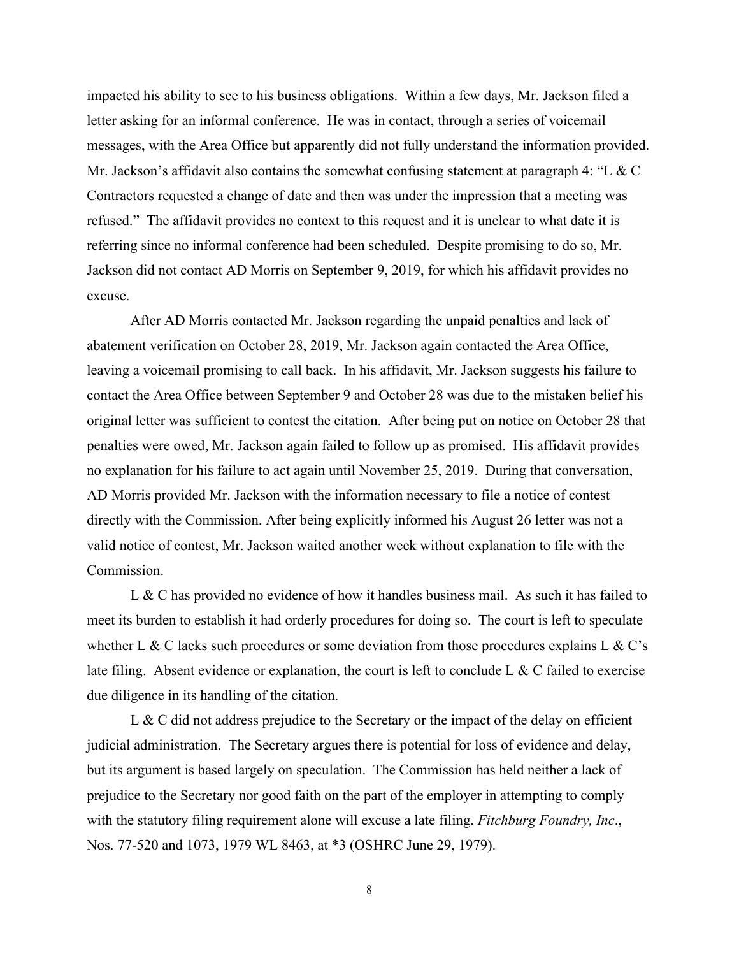impacted his ability to see to his business obligations. Within a few days, Mr. Jackson filed a letter asking for an informal conference. He was in contact, through a series of voicemail messages, with the Area Office but apparently did not fully understand the information provided. Mr. Jackson's affidavit also contains the somewhat confusing statement at paragraph 4: "L  $\& C$ Contractors requested a change of date and then was under the impression that a meeting was refused." The affidavit provides no context to this request and it is unclear to what date it is referring since no informal conference had been scheduled. Despite promising to do so, Mr. Jackson did not contact AD Morris on September 9, 2019, for which his affidavit provides no excuse.

After AD Morris contacted Mr. Jackson regarding the unpaid penalties and lack of abatement verification on October 28, 2019, Mr. Jackson again contacted the Area Office, leaving a voicemail promising to call back. In his affidavit, Mr. Jackson suggests his failure to contact the Area Office between September 9 and October 28 was due to the mistaken belief his original letter was sufficient to contest the citation. After being put on notice on October 28 that penalties were owed, Mr. Jackson again failed to follow up as promised. His affidavit provides no explanation for his failure to act again until November 25, 2019. During that conversation, AD Morris provided Mr. Jackson with the information necessary to file a notice of contest directly with the Commission. After being explicitly informed his August 26 letter was not a valid notice of contest, Mr. Jackson waited another week without explanation to file with the Commission.

L & C has provided no evidence of how it handles business mail. As such it has failed to meet its burden to establish it had orderly procedures for doing so. The court is left to speculate whether L & C lacks such procedures or some deviation from those procedures explains L & C's late filing. Absent evidence or explanation, the court is left to conclude L & C failed to exercise due diligence in its handling of the citation.

L & C did not address prejudice to the Secretary or the impact of the delay on efficient judicial administration. The Secretary argues there is potential for loss of evidence and delay, but its argument is based largely on speculation. The Commission has held neither a lack of prejudice to the Secretary nor good faith on the part of the employer in attempting to comply with the statutory filing requirement alone will excuse a late filing. *Fitchburg Foundry, Inc*., Nos. 77-520 and 1073, 1979 WL 8463, at \*3 (OSHRC June 29, 1979).

8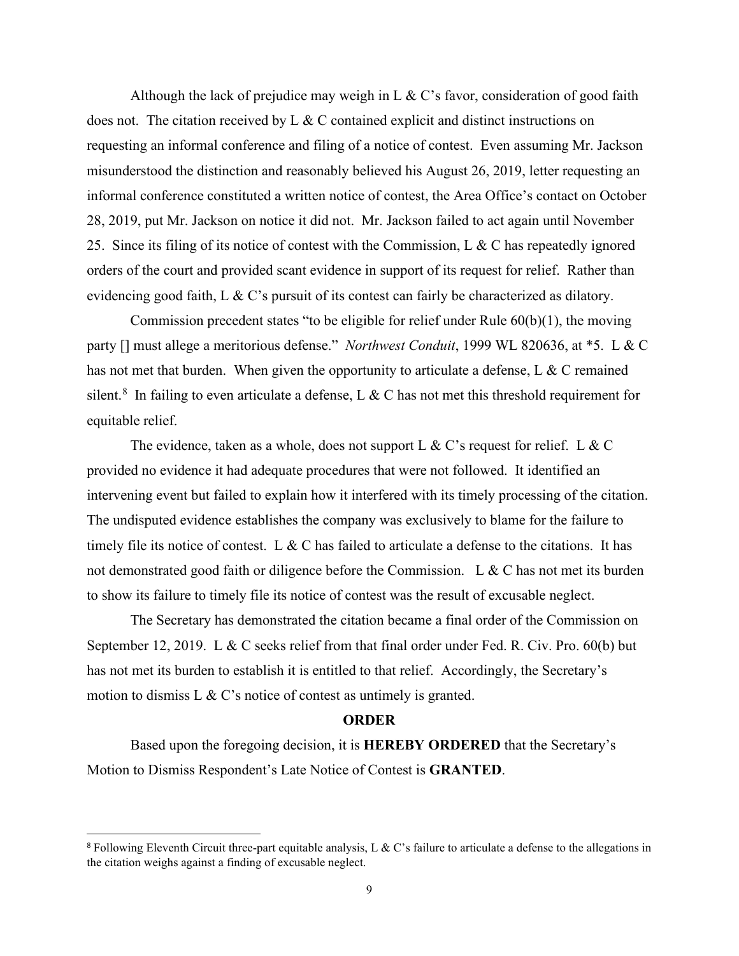Although the lack of prejudice may weigh in L & C's favor, consideration of good faith does not. The citation received by  $L \& C$  contained explicit and distinct instructions on requesting an informal conference and filing of a notice of contest. Even assuming Mr. Jackson misunderstood the distinction and reasonably believed his August 26, 2019, letter requesting an informal conference constituted a written notice of contest, the Area Office's contact on October 28, 2019, put Mr. Jackson on notice it did not. Mr. Jackson failed to act again until November 25. Since its filing of its notice of contest with the Commission, L & C has repeatedly ignored orders of the court and provided scant evidence in support of its request for relief. Rather than evidencing good faith, L  $\&$  C's pursuit of its contest can fairly be characterized as dilatory.

Commission precedent states "to be eligible for relief under Rule 60(b)(1), the moving party [] must allege a meritorious defense." *Northwest Conduit*, 1999 WL 820636, at \*5. L & C has not met that burden. When given the opportunity to articulate a defense, L & C remained silent.<sup>[8](#page-8-0)</sup> In failing to even articulate a defense, L & C has not met this threshold requirement for equitable relief.

The evidence, taken as a whole, does not support L & C's request for relief. L & C provided no evidence it had adequate procedures that were not followed. It identified an intervening event but failed to explain how it interfered with its timely processing of the citation. The undisputed evidence establishes the company was exclusively to blame for the failure to timely file its notice of contest. L & C has failed to articulate a defense to the citations. It has not demonstrated good faith or diligence before the Commission. L & C has not met its burden to show its failure to timely file its notice of contest was the result of excusable neglect.

The Secretary has demonstrated the citation became a final order of the Commission on September 12, 2019. L & C seeks relief from that final order under Fed. R. Civ. Pro. 60(b) but has not met its burden to establish it is entitled to that relief. Accordingly, the Secretary's motion to dismiss L & C's notice of contest as untimely is granted.

#### **ORDER**

 Based upon the foregoing decision, it is **HEREBY ORDERED** that the Secretary's Motion to Dismiss Respondent's Late Notice of Contest is **GRANTED**.

<span id="page-8-0"></span><sup>&</sup>lt;sup>8</sup> Following Eleventh Circuit three-part equitable analysis, L & C's failure to articulate a defense to the allegations in the citation weighs against a finding of excusable neglect.